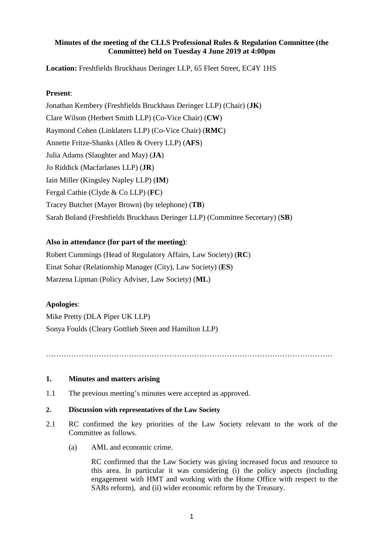# **Minutes of the meeting of the CLLS Professional Rules & Regulation Committee (the Committee) held on Tuesday 4 June 2019 at 4:00pm**

**Location:** Freshfields Bruckhaus Deringer LLP, 65 Fleet Street, EC4Y 1HS

## **Present**:

Jonathan Kembery (Freshfields Bruckhaus Deringer LLP) (Chair) (**JK**) Clare Wilson (Herbert Smith LLP) (Co-Vice Chair) (**CW**) Raymond Cohen (Linklaters LLP) (Co-Vice Chair) (**RMC**) Annette Fritze-Shanks (Allen & Overy LLP) (**AFS**) Julia Adams (Slaughter and May) (**JA**) Jo Riddick (Macfarlanes LLP) (**JR**) Iain Miller (Kingsley Napley LLP) (**IM**) Fergal Cathie (Clyde & Co LLP) (**FC**) Tracey Butcher (Mayer Brown) (by telephone) (**TB**) Sarah Boland (Freshfields Bruckhaus Deringer LLP) (Committee Secretary) (**SB**)

# **Also in attendance (for part of the meeting)**:

Robert Cummings (Head of Regulatory Affairs, Law Society) (**RC**) Einat Sohar (Relationship Manager (City), Law Society) (**ES**) Marzena Lipman (Policy Adviser, Law Society) (**ML**)

#### **Apologies**:

Mike Pretty (DLA Piper UK LLP) Sonya Foulds (Cleary Gottlieb Steen and Hamilton LLP)

……………………………………………………………………………………………………

### **1. Minutes and matters arising**

1.1 The previous meeting's minutes were accepted as approved.

#### **2. Discussion with representatives of the Law Society**

- 2.1 RC confirmed the key priorities of the Law Society relevant to the work of the Committee as follows.
	- (a) AML and economic crime.

RC confirmed that the Law Society was giving increased focus and resource to this area. In particular it was considering (i) the policy aspects (including engagement with HMT and working with the Home Office with respect to the SARs reform), and (ii) wider economic reform by the Treasury.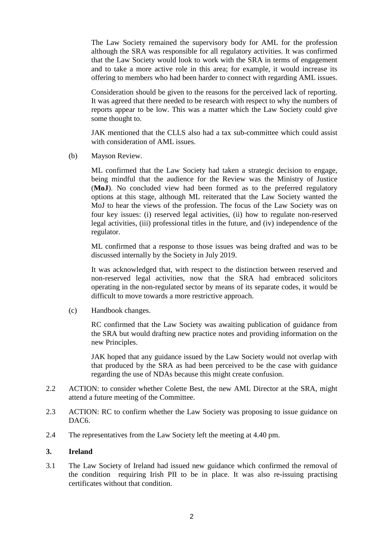The Law Society remained the supervisory body for AML for the profession although the SRA was responsible for all regulatory activities. It was confirmed that the Law Society would look to work with the SRA in terms of engagement and to take a more active role in this area; for example, it would increase its offering to members who had been harder to connect with regarding AML issues.

Consideration should be given to the reasons for the perceived lack of reporting. It was agreed that there needed to be research with respect to why the numbers of reports appear to be low. This was a matter which the Law Society could give some thought to.

JAK mentioned that the CLLS also had a tax sub-committee which could assist with consideration of AML issues.

(b) Mayson Review.

ML confirmed that the Law Society had taken a strategic decision to engage, being mindful that the audience for the Review was the Ministry of Justice (**MoJ**). No concluded view had been formed as to the preferred regulatory options at this stage, although ML reiterated that the Law Society wanted the MoJ to hear the views of the profession. The focus of the Law Society was on four key issues: (i) reserved legal activities, (ii) how to regulate non-reserved legal activities, (iii) professional titles in the future, and (iv) independence of the regulator.

ML confirmed that a response to those issues was being drafted and was to be discussed internally by the Society in July 2019.

It was acknowledged that, with respect to the distinction between reserved and non-reserved legal activities, now that the SRA had embraced solicitors operating in the non-regulated sector by means of its separate codes, it would be difficult to move towards a more restrictive approach.

(c) Handbook changes.

RC confirmed that the Law Society was awaiting publication of guidance from the SRA but would drafting new practice notes and providing information on the new Principles.

JAK hoped that any guidance issued by the Law Society would not overlap with that produced by the SRA as had been perceived to be the case with guidance regarding the use of NDAs because this might create confusion.

- 2.2 ACTION: to consider whether Colette Best, the new AML Director at the SRA, might attend a future meeting of the Committee.
- 2.3 ACTION: RC to confirm whether the Law Society was proposing to issue guidance on DAC<sub>6</sub>.
- 2.4 The representatives from the Law Society left the meeting at 4.40 pm.

### **3. Ireland**

3.1 The Law Society of Ireland had issued new guidance which confirmed the removal of the condition requiring Irish PII to be in place. It was also re-issuing practising certificates without that condition.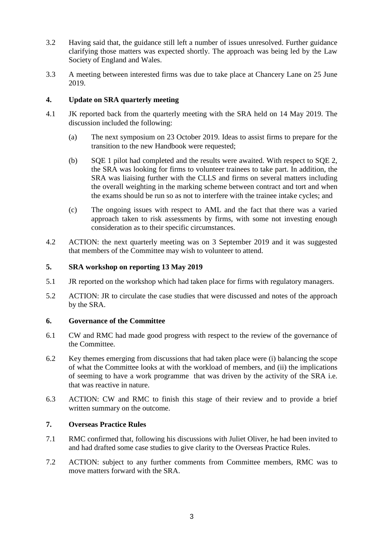- 3.2 Having said that, the guidance still left a number of issues unresolved. Further guidance clarifying those matters was expected shortly. The approach was being led by the Law Society of England and Wales.
- 3.3 A meeting between interested firms was due to take place at Chancery Lane on 25 June 2019.

# **4. Update on SRA quarterly meeting**

- 4.1 JK reported back from the quarterly meeting with the SRA held on 14 May 2019. The discussion included the following:
	- (a) The next symposium on 23 October 2019. Ideas to assist firms to prepare for the transition to the new Handbook were requested;
	- (b) SQE 1 pilot had completed and the results were awaited. With respect to SQE 2, the SRA was looking for firms to volunteer trainees to take part. In addition, the SRA was liaising further with the CLLS and firms on several matters including the overall weighting in the marking scheme between contract and tort and when the exams should be run so as not to interfere with the trainee intake cycles; and
	- (c) The ongoing issues with respect to AML and the fact that there was a varied approach taken to risk assessments by firms, with some not investing enough consideration as to their specific circumstances.
- 4.2 ACTION: the next quarterly meeting was on 3 September 2019 and it was suggested that members of the Committee may wish to volunteer to attend.

# **5. SRA workshop on reporting 13 May 2019**

- 5.1 JR reported on the workshop which had taken place for firms with regulatory managers.
- 5.2 ACTION: JR to circulate the case studies that were discussed and notes of the approach by the SRA.

#### **6. Governance of the Committee**

- 6.1 CW and RMC had made good progress with respect to the review of the governance of the Committee.
- 6.2 Key themes emerging from discussions that had taken place were (i) balancing the scope of what the Committee looks at with the workload of members, and (ii) the implications of seeming to have a work programme that was driven by the activity of the SRA i.e. that was reactive in nature.
- 6.3 ACTION: CW and RMC to finish this stage of their review and to provide a brief written summary on the outcome.

# **7. Overseas Practice Rules**

- 7.1 RMC confirmed that, following his discussions with Juliet Oliver, he had been invited to and had drafted some case studies to give clarity to the Overseas Practice Rules.
- 7.2 ACTION: subject to any further comments from Committee members, RMC was to move matters forward with the SRA.